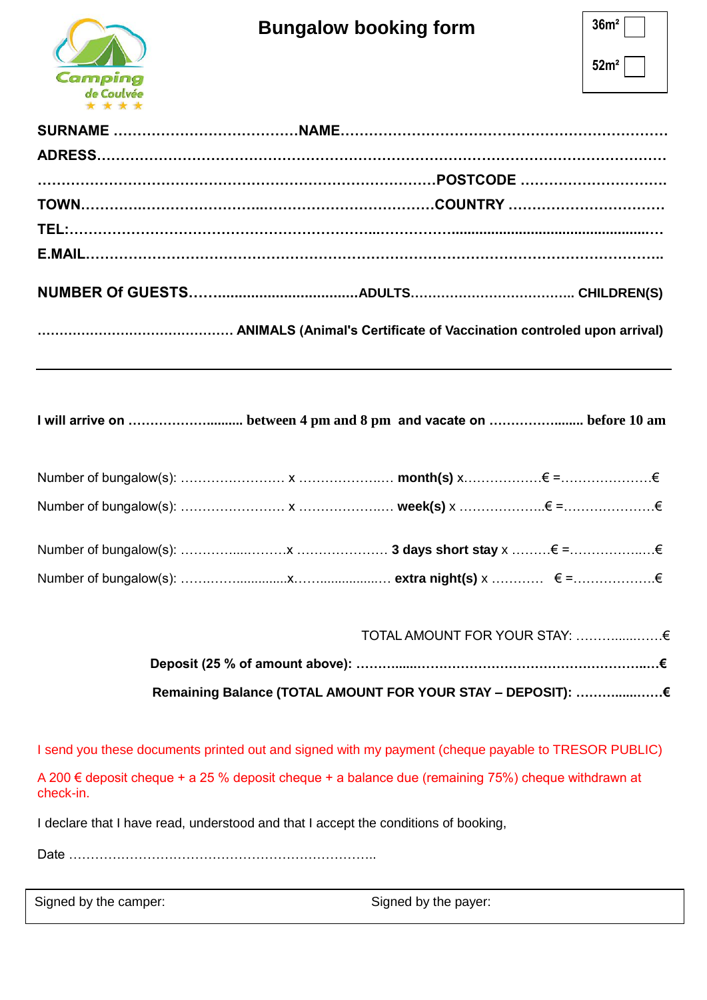

| 36m <sup>2</sup> |  |
|------------------|--|
| 52m <sup>2</sup> |  |

**……………………………………… ANIMALS (Animal's Certificate of Vaccination controled upon arrival)**

**I will arrive on ……………….......... between 4 pm and 8 pm and vacate on ……………........ before 10 am**

| TOTAL AMOUNT FOR YOUR STAY: € |  |
|-------------------------------|--|
|                               |  |
|                               |  |

I send you these documents printed out and signed with my payment (cheque payable to TRESOR PUBLIC)

A 200 € deposit cheque + a 25 % deposit cheque + a balance due (remaining 75%) cheque withdrawn at check-in.

I declare that I have read, understood and that I accept the conditions of booking,

Date ……………………………………………………………..

Signed by the camper: Signed by the payer: